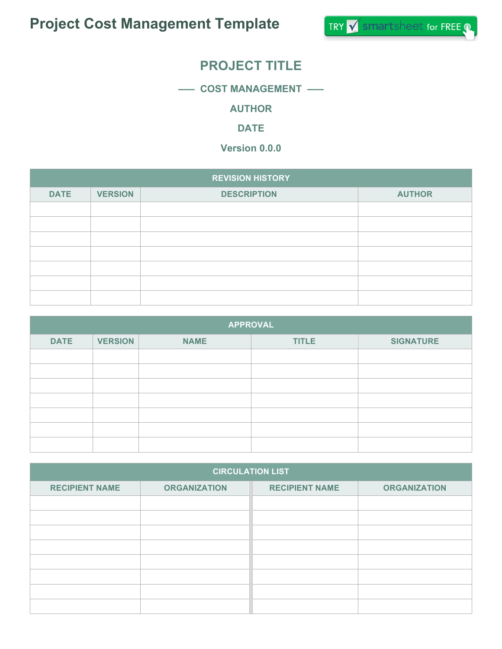# **PROJECT TITLE**

**––– COST MANAGEMENT –––**

**AUTHOR**

**DATE**

**Version 0.0.0**

| <b>REVISION HISTORY</b> |                |                    |               |
|-------------------------|----------------|--------------------|---------------|
| <b>DATE</b>             | <b>VERSION</b> | <b>DESCRIPTION</b> | <b>AUTHOR</b> |
|                         |                |                    |               |
|                         |                |                    |               |
|                         |                |                    |               |
|                         |                |                    |               |
|                         |                |                    |               |
|                         |                |                    |               |
|                         |                |                    |               |

| <b>APPROVAL</b> |                |             |              |                  |
|-----------------|----------------|-------------|--------------|------------------|
| <b>DATE</b>     | <b>VERSION</b> | <b>NAME</b> | <b>TITLE</b> | <b>SIGNATURE</b> |
|                 |                |             |              |                  |
|                 |                |             |              |                  |
|                 |                |             |              |                  |
|                 |                |             |              |                  |
|                 |                |             |              |                  |
|                 |                |             |              |                  |
|                 |                |             |              |                  |

| <b>CIRCULATION LIST</b> |                     |                       |                     |
|-------------------------|---------------------|-----------------------|---------------------|
| <b>RECIPIENT NAME</b>   | <b>ORGANIZATION</b> | <b>RECIPIENT NAME</b> | <b>ORGANIZATION</b> |
|                         |                     |                       |                     |
|                         |                     |                       |                     |
|                         |                     |                       |                     |
|                         |                     |                       |                     |
|                         |                     |                       |                     |
|                         |                     |                       |                     |
|                         |                     |                       |                     |
|                         |                     |                       |                     |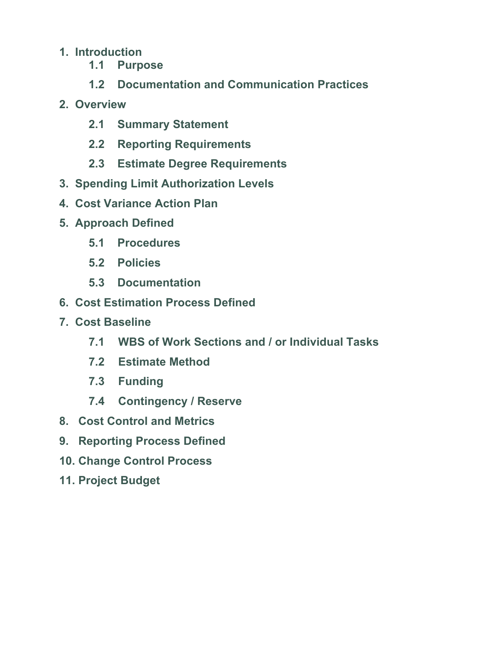#### **1. Introduction**

- **1.1 Purpose**
- **1.2 Documentation and Communication Practices**
- **2. Overview**
	- **2.1 Summary Statement**
	- **2.2 Reporting Requirements**
	- **2.3 Estimate Degree Requirements**
- **3. Spending Limit Authorization Levels**
- **4. Cost Variance Action Plan**
- **5. Approach Defined**
	- **5.1 Procedures**
	- **5.2 Policies**
	- **5.3 Documentation**
- **6. Cost Estimation Process Defined**
- **7. Cost Baseline**
	- **7.1 WBS of Work Sections and / or Individual Tasks**
	- **7.2 Estimate Method**
	- **7.3 Funding**
	- **7.4 Contingency / Reserve**
- **8. Cost Control and Metrics**
- **9. Reporting Process Defined**
- **10. Change Control Process**
- **11. Project Budget**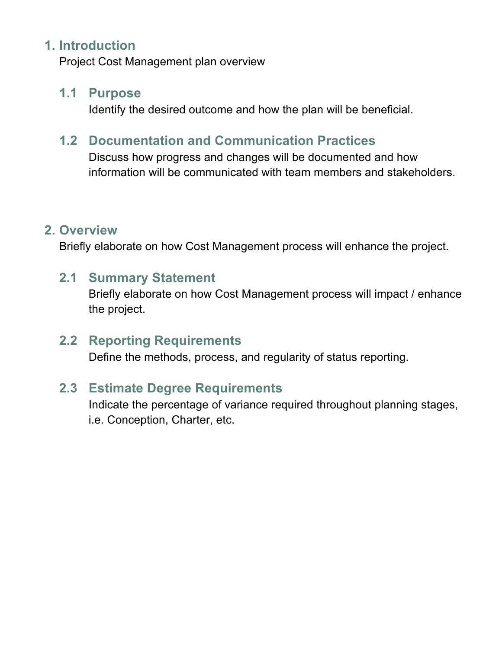#### **1. Introduction**

Project Cost Management plan overview

#### **1.1 Purpose**

Identify the desired outcome and how the plan will be beneficial.

### **1.2 Documentation and Communication Practices**

Discuss how progress and changes will be documented and how information will be communicated with team members and stakeholders.

#### **2. Overview**

Briefly elaborate on how Cost Management process will enhance the project.

#### **2.1 Summary Statement**

Briefly elaborate on how Cost Management process will impact / enhance the project.

#### **2.2 Reporting Requirements**

Define the methods, process, and regularity of status reporting.

### **2.3 Estimate Degree Requirements**

Indicate the percentage of variance required throughout planning stages, i.e. Conception, Charter, etc.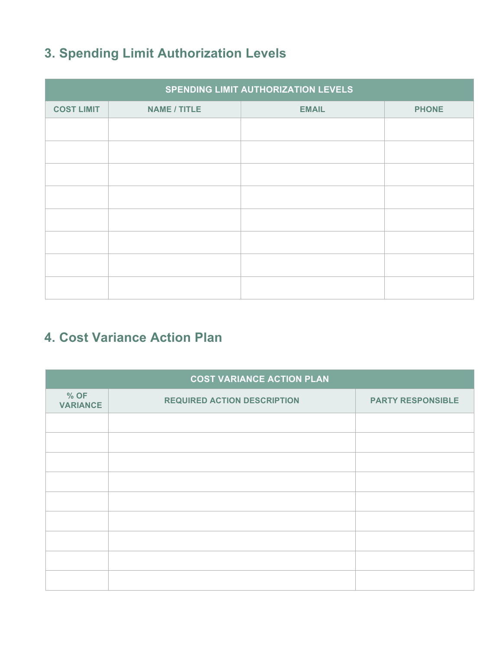# **3. Spending Limit Authorization Levels**

| SPENDING LIMIT AUTHORIZATION LEVELS |                     |              |              |  |
|-------------------------------------|---------------------|--------------|--------------|--|
| <b>COST LIMIT</b>                   | <b>NAME / TITLE</b> | <b>EMAIL</b> | <b>PHONE</b> |  |
|                                     |                     |              |              |  |
|                                     |                     |              |              |  |
|                                     |                     |              |              |  |
|                                     |                     |              |              |  |
|                                     |                     |              |              |  |
|                                     |                     |              |              |  |
|                                     |                     |              |              |  |
|                                     |                     |              |              |  |

# **4. Cost Variance Action Plan**

| <b>COST VARIANCE ACTION PLAN</b> |                                    |                          |  |
|----------------------------------|------------------------------------|--------------------------|--|
| % OF<br><b>VARIANCE</b>          | <b>REQUIRED ACTION DESCRIPTION</b> | <b>PARTY RESPONSIBLE</b> |  |
|                                  |                                    |                          |  |
|                                  |                                    |                          |  |
|                                  |                                    |                          |  |
|                                  |                                    |                          |  |
|                                  |                                    |                          |  |
|                                  |                                    |                          |  |
|                                  |                                    |                          |  |
|                                  |                                    |                          |  |
|                                  |                                    |                          |  |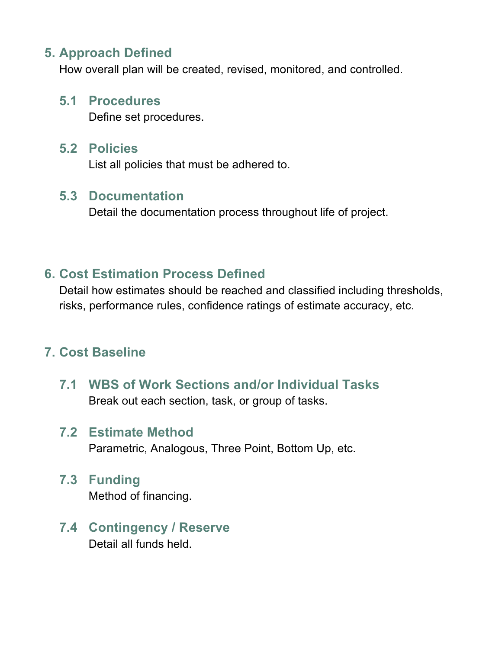### **5. Approach Defined**

How overall plan will be created, revised, monitored, and controlled.

#### **5.1 Procedures**

Define set procedures.

#### **5.2 Policies**

List all policies that must be adhered to.

#### **5.3 Documentation**

Detail the documentation process throughout life of project.

## **6. Cost Estimation Process Defined**

Detail how estimates should be reached and classified including thresholds, risks, performance rules, confidence ratings of estimate accuracy, etc.

# **7. Cost Baseline**

**7.1 WBS of Work Sections and/or Individual Tasks** Break out each section, task, or group of tasks.

# **7.2 Estimate Method**

Parametric, Analogous, Three Point, Bottom Up, etc.

## **7.3 Funding** Method of financing.

**7.4 Contingency / Reserve** Detail all funds held.